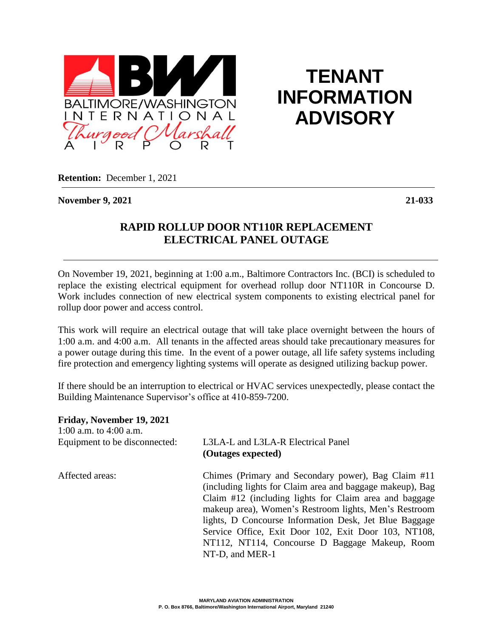

**TENANT INFORMATION ADVISORY**

**Retention:** December 1, 2021

**November 9, 2021 21-033**

## **RAPID ROLLUP DOOR NT110R REPLACEMENT ELECTRICAL PANEL OUTAGE**

On November 19, 2021, beginning at 1:00 a.m., Baltimore Contractors Inc. (BCI) is scheduled to replace the existing electrical equipment for overhead rollup door NT110R in Concourse D. Work includes connection of new electrical system components to existing electrical panel for rollup door power and access control.

This work will require an electrical outage that will take place overnight between the hours of 1:00 a.m. and 4:00 a.m. All tenants in the affected areas should take precautionary measures for a power outage during this time. In the event of a power outage, all life safety systems including fire protection and emergency lighting systems will operate as designed utilizing backup power.

If there should be an interruption to electrical or HVAC services unexpectedly, please contact the Building Maintenance Supervisor's office at 410-859-7200.

| Friday, November 19, 2021<br>1:00 a.m. to $4:00$ a.m. |                                                                                                                                                                                                                                                                                                                                                                                                                            |
|-------------------------------------------------------|----------------------------------------------------------------------------------------------------------------------------------------------------------------------------------------------------------------------------------------------------------------------------------------------------------------------------------------------------------------------------------------------------------------------------|
| Equipment to be disconnected:                         | L3LA-L and L3LA-R Electrical Panel<br>(Outages expected)                                                                                                                                                                                                                                                                                                                                                                   |
| Affected areas:                                       | Chimes (Primary and Secondary power), Bag Claim #11<br>(including lights for Claim area and baggage makeup), Bag<br>Claim #12 (including lights for Claim area and baggage<br>makeup area), Women's Restroom lights, Men's Restroom<br>lights, D Concourse Information Desk, Jet Blue Baggage<br>Service Office, Exit Door 102, Exit Door 103, NT108,<br>NT112, NT114, Concourse D Baggage Makeup, Room<br>NT-D, and MER-1 |